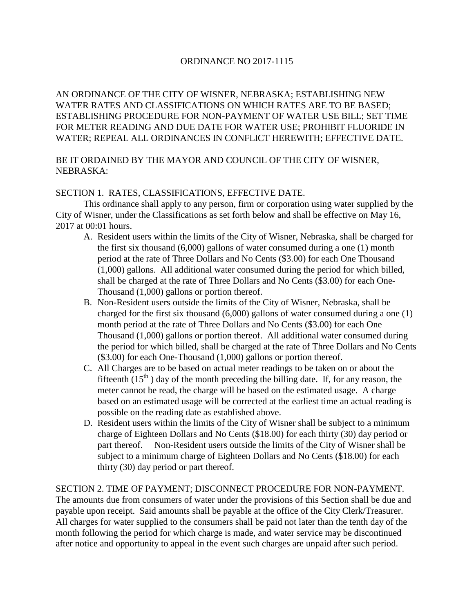### ORDINANCE NO 2017-1115

AN ORDINANCE OF THE CITY OF WISNER, NEBRASKA; ESTABLISHING NEW WATER RATES AND CLASSIFICATIONS ON WHICH RATES ARE TO BE BASED; ESTABLISHING PROCEDURE FOR NON-PAYMENT OF WATER USE BILL; SET TIME FOR METER READING AND DUE DATE FOR WATER USE; PROHIBIT FLUORIDE IN WATER; REPEAL ALL ORDINANCES IN CONFLICT HEREWITH; EFFECTIVE DATE.

# BE IT ORDAINED BY THE MAYOR AND COUNCIL OF THE CITY OF WISNER, NEBRASKA:

### SECTION 1. RATES, CLASSIFICATIONS, EFFECTIVE DATE.

This ordinance shall apply to any person, firm or corporation using water supplied by the City of Wisner, under the Classifications as set forth below and shall be effective on May 16, 2017 at 00:01 hours.

- A. Resident users within the limits of the City of Wisner, Nebraska, shall be charged for the first six thousand (6,000) gallons of water consumed during a one (1) month period at the rate of Three Dollars and No Cents (\$3.00) for each One Thousand (1,000) gallons. All additional water consumed during the period for which billed, shall be charged at the rate of Three Dollars and No Cents (\$3.00) for each One-Thousand (1,000) gallons or portion thereof.
- B. Non-Resident users outside the limits of the City of Wisner, Nebraska, shall be charged for the first six thousand (6,000) gallons of water consumed during a one (1) month period at the rate of Three Dollars and No Cents (\$3.00) for each One Thousand (1,000) gallons or portion thereof. All additional water consumed during the period for which billed, shall be charged at the rate of Three Dollars and No Cents (\$3.00) for each One-Thousand (1,000) gallons or portion thereof.
- C. All Charges are to be based on actual meter readings to be taken on or about the fifteenth  $(15<sup>th</sup>)$  day of the month preceding the billing date. If, for any reason, the meter cannot be read, the charge will be based on the estimated usage. A charge based on an estimated usage will be corrected at the earliest time an actual reading is possible on the reading date as established above.
- D. Resident users within the limits of the City of Wisner shall be subject to a minimum charge of Eighteen Dollars and No Cents (\$18.00) for each thirty (30) day period or part thereof. Non-Resident users outside the limits of the City of Wisner shall be subject to a minimum charge of Eighteen Dollars and No Cents (\$18.00) for each thirty (30) day period or part thereof.

### SECTION 2. TIME OF PAYMENT; DISCONNECT PROCEDURE FOR NON-PAYMENT. The amounts due from consumers of water under the provisions of this Section shall be due and payable upon receipt. Said amounts shall be payable at the office of the City Clerk/Treasurer. All charges for water supplied to the consumers shall be paid not later than the tenth day of the month following the period for which charge is made, and water service may be discontinued after notice and opportunity to appeal in the event such charges are unpaid after such period.